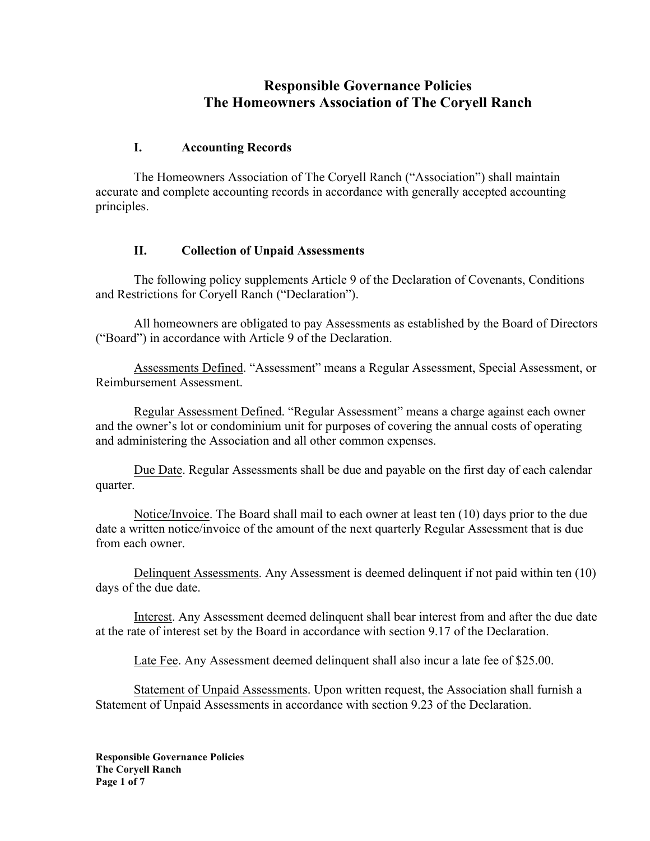# **Responsible Governance Policies The Homeowners Association of The Coryell Ranch**

#### **I. Accounting Records**

The Homeowners Association of The Coryell Ranch ("Association") shall maintain accurate and complete accounting records in accordance with generally accepted accounting principles.

#### **II. Collection of Unpaid Assessments**

The following policy supplements Article 9 of the Declaration of Covenants, Conditions and Restrictions for Coryell Ranch ("Declaration").

All homeowners are obligated to pay Assessments as established by the Board of Directors ("Board") in accordance with Article 9 of the Declaration.

Assessments Defined. "Assessment" means a Regular Assessment, Special Assessment, or Reimbursement Assessment.

Regular Assessment Defined. "Regular Assessment" means a charge against each owner and the owner's lot or condominium unit for purposes of covering the annual costs of operating and administering the Association and all other common expenses.

Due Date. Regular Assessments shall be due and payable on the first day of each calendar quarter.

Notice/Invoice. The Board shall mail to each owner at least ten (10) days prior to the due date a written notice/invoice of the amount of the next quarterly Regular Assessment that is due from each owner.

Delinquent Assessments. Any Assessment is deemed delinquent if not paid within ten (10) days of the due date.

Interest. Any Assessment deemed delinquent shall bear interest from and after the due date at the rate of interest set by the Board in accordance with section 9.17 of the Declaration.

Late Fee. Any Assessment deemed delinquent shall also incur a late fee of \$25.00.

Statement of Unpaid Assessments. Upon written request, the Association shall furnish a Statement of Unpaid Assessments in accordance with section 9.23 of the Declaration.

**Responsible Governance Policies The Coryell Ranch Page 1 of 7**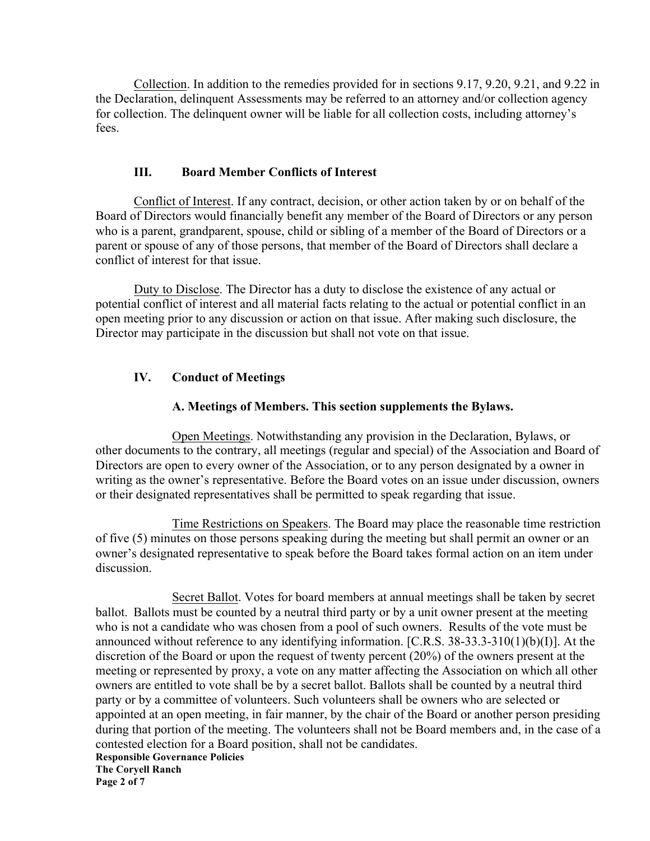Collection. In addition to the remedies provided for in sections 9.17, 9.20, 9.21, and 9.22 in the Declaration, delinquent Assessments may be referred to an attorney and/or collection agency for collection. The delinquent owner will be liable for all collection costs, including attorney's fees.

#### **III. Board Member Conflicts of Interest**

Conflict of Interest. If any contract, decision, or other action taken by or on behalf of the Board of Directors would financially benefit any member of the Board of Directors or any person who is a parent, grandparent, spouse, child or sibling of a member of the Board of Directors or a parent or spouse of any of those persons, that member of the Board of Directors shall declare a conflict of interest for that issue.

Duty to Disclose. The Director has a duty to disclose the existence of any actual or potential conflict of interest and all material facts relating to the actual or potential conflict in an open meeting prior to any discussion or action on that issue. After making such disclosure, the Director may participate in the discussion but shall not vote on that issue.

### **IV. Conduct of Meetings**

#### **A. Meetings of Members. This section supplements the Bylaws.**

 Open Meetings. Notwithstanding any provision in the Declaration, Bylaws, or other documents to the contrary, all meetings (regular and special) of the Association and Board of Directors are open to every owner of the Association, or to any person designated by a owner in writing as the owner's representative. Before the Board votes on an issue under discussion, owners or their designated representatives shall be permitted to speak regarding that issue.

Time Restrictions on Speakers. The Board may place the reasonable time restriction of five (5) minutes on those persons speaking during the meeting but shall permit an owner or an owner's designated representative to speak before the Board takes formal action on an item under discussion.

Secret Ballot. Votes for board members at annual meetings shall be taken by secret ballot. Ballots must be counted by a neutral third party or by a unit owner present at the meeting who is not a candidate who was chosen from a pool of such owners. Results of the vote must be announced without reference to any identifying information. [C.R.S. 38-33.3-310(1)(b)(I)]. At the discretion of the Board or upon the request of twenty percent (20%) of the owners present at the meeting or represented by proxy, a vote on any matter affecting the Association on which all other owners are entitled to vote shall be by a secret ballot. Ballots shall be counted by a neutral third party or by a committee of volunteers. Such volunteers shall be owners who are selected or appointed at an open meeting, in fair manner, by the chair of the Board or another person presiding during that portion of the meeting. The volunteers shall not be Board members and, in the case of a contested election for a Board position, shall not be candidates.

**Responsible Governance Policies The Coryell Ranch Page 2 of 7**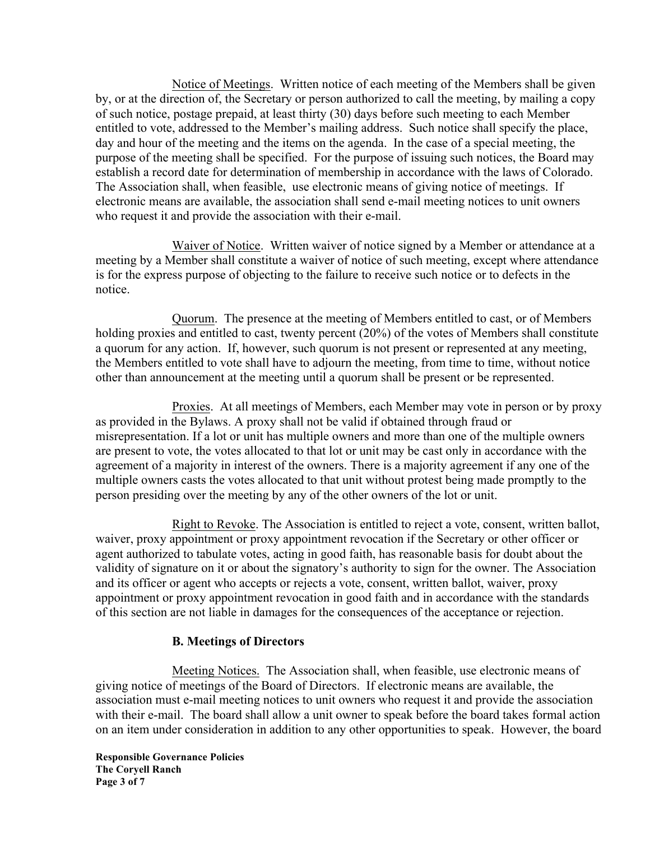Notice of Meetings. Written notice of each meeting of the Members shall be given by, or at the direction of, the Secretary or person authorized to call the meeting, by mailing a copy of such notice, postage prepaid, at least thirty (30) days before such meeting to each Member entitled to vote, addressed to the Member's mailing address. Such notice shall specify the place, day and hour of the meeting and the items on the agenda. In the case of a special meeting, the purpose of the meeting shall be specified. For the purpose of issuing such notices, the Board may establish a record date for determination of membership in accordance with the laws of Colorado. The Association shall, when feasible, use electronic means of giving notice of meetings. If electronic means are available, the association shall send e-mail meeting notices to unit owners who request it and provide the association with their e-mail.

Waiver of Notice. Written waiver of notice signed by a Member or attendance at a meeting by a Member shall constitute a waiver of notice of such meeting, except where attendance is for the express purpose of objecting to the failure to receive such notice or to defects in the notice.

Quorum. The presence at the meeting of Members entitled to cast, or of Members holding proxies and entitled to cast, twenty percent (20%) of the votes of Members shall constitute a quorum for any action. If, however, such quorum is not present or represented at any meeting, the Members entitled to vote shall have to adjourn the meeting, from time to time, without notice other than announcement at the meeting until a quorum shall be present or be represented.

Proxies. At all meetings of Members, each Member may vote in person or by proxy as provided in the Bylaws. A proxy shall not be valid if obtained through fraud or misrepresentation. If a lot or unit has multiple owners and more than one of the multiple owners are present to vote, the votes allocated to that lot or unit may be cast only in accordance with the agreement of a majority in interest of the owners. There is a majority agreement if any one of the multiple owners casts the votes allocated to that unit without protest being made promptly to the person presiding over the meeting by any of the other owners of the lot or unit.

Right to Revoke. The Association is entitled to reject a vote, consent, written ballot, waiver, proxy appointment or proxy appointment revocation if the Secretary or other officer or agent authorized to tabulate votes, acting in good faith, has reasonable basis for doubt about the validity of signature on it or about the signatory's authority to sign for the owner. The Association and its officer or agent who accepts or rejects a vote, consent, written ballot, waiver, proxy appointment or proxy appointment revocation in good faith and in accordance with the standards of this section are not liable in damages for the consequences of the acceptance or rejection.

### **B. Meetings of Directors**

Meeting Notices. The Association shall, when feasible, use electronic means of giving notice of meetings of the Board of Directors. If electronic means are available, the association must e-mail meeting notices to unit owners who request it and provide the association with their e-mail. The board shall allow a unit owner to speak before the board takes formal action on an item under consideration in addition to any other opportunities to speak. However, the board

**Responsible Governance Policies The Coryell Ranch Page 3 of 7**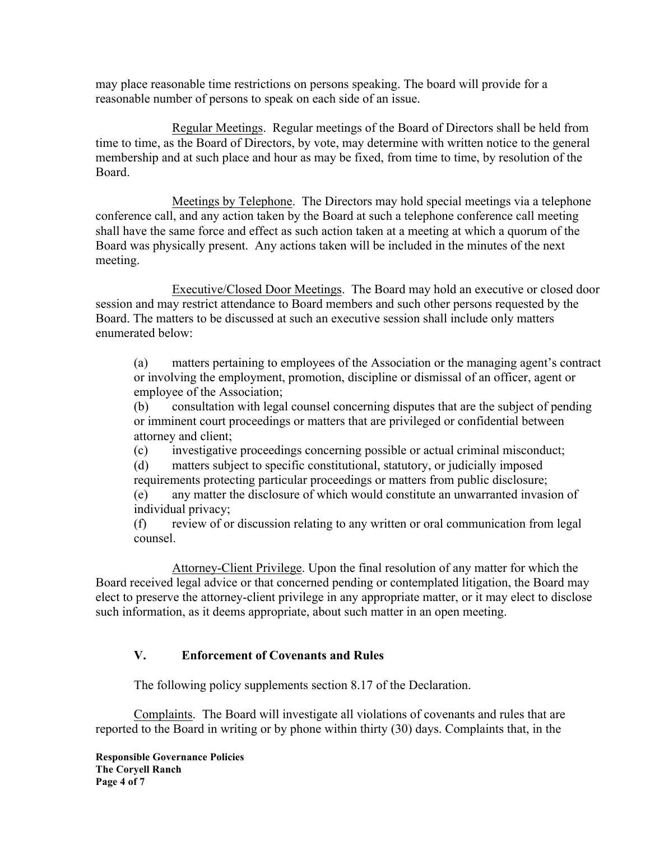may place reasonable time restrictions on persons speaking. The board will provide for a reasonable number of persons to speak on each side of an issue.

Regular Meetings. Regular meetings of the Board of Directors shall be held from time to time, as the Board of Directors, by vote, may determine with written notice to the general membership and at such place and hour as may be fixed, from time to time, by resolution of the Board.

Meetings by Telephone. The Directors may hold special meetings via a telephone conference call, and any action taken by the Board at such a telephone conference call meeting shall have the same force and effect as such action taken at a meeting at which a quorum of the Board was physically present. Any actions taken will be included in the minutes of the next meeting.

Executive/Closed Door Meetings. The Board may hold an executive or closed door session and may restrict attendance to Board members and such other persons requested by the Board. The matters to be discussed at such an executive session shall include only matters enumerated below:

(a) matters pertaining to employees of the Association or the managing agent's contract or involving the employment, promotion, discipline or dismissal of an officer, agent or employee of the Association;

(b) consultation with legal counsel concerning disputes that are the subject of pending or imminent court proceedings or matters that are privileged or confidential between attorney and client;

(c) investigative proceedings concerning possible or actual criminal misconduct;

(d) matters subject to specific constitutional, statutory, or judicially imposed

requirements protecting particular proceedings or matters from public disclosure; (e) any matter the disclosure of which would constitute an unwarranted invasion of individual privacy;

(f) review of or discussion relating to any written or oral communication from legal counsel.

Attorney-Client Privilege. Upon the final resolution of any matter for which the Board received legal advice or that concerned pending or contemplated litigation, the Board may elect to preserve the attorney-client privilege in any appropriate matter, or it may elect to disclose such information, as it deems appropriate, about such matter in an open meeting.

### **V. Enforcement of Covenants and Rules**

The following policy supplements section 8.17 of the Declaration.

Complaints. The Board will investigate all violations of covenants and rules that are reported to the Board in writing or by phone within thirty (30) days. Complaints that, in the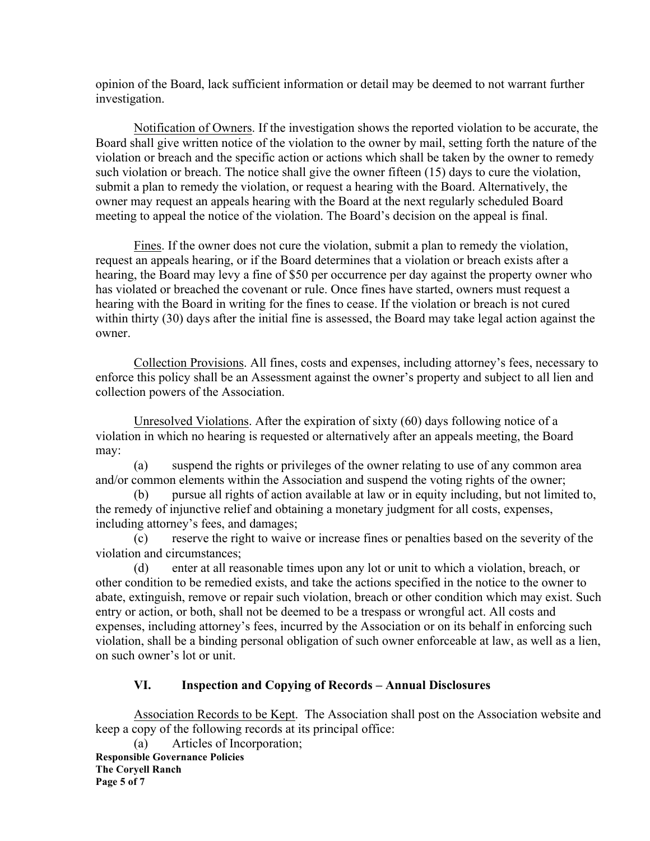opinion of the Board, lack sufficient information or detail may be deemed to not warrant further investigation.

Notification of Owners. If the investigation shows the reported violation to be accurate, the Board shall give written notice of the violation to the owner by mail, setting forth the nature of the violation or breach and the specific action or actions which shall be taken by the owner to remedy such violation or breach. The notice shall give the owner fifteen (15) days to cure the violation, submit a plan to remedy the violation, or request a hearing with the Board. Alternatively, the owner may request an appeals hearing with the Board at the next regularly scheduled Board meeting to appeal the notice of the violation. The Board's decision on the appeal is final.

Fines. If the owner does not cure the violation, submit a plan to remedy the violation, request an appeals hearing, or if the Board determines that a violation or breach exists after a hearing, the Board may levy a fine of \$50 per occurrence per day against the property owner who has violated or breached the covenant or rule. Once fines have started, owners must request a hearing with the Board in writing for the fines to cease. If the violation or breach is not cured within thirty (30) days after the initial fine is assessed, the Board may take legal action against the owner.

Collection Provisions. All fines, costs and expenses, including attorney's fees, necessary to enforce this policy shall be an Assessment against the owner's property and subject to all lien and collection powers of the Association.

Unresolved Violations. After the expiration of sixty (60) days following notice of a violation in which no hearing is requested or alternatively after an appeals meeting, the Board may:

(a) suspend the rights or privileges of the owner relating to use of any common area and/or common elements within the Association and suspend the voting rights of the owner;

(b) pursue all rights of action available at law or in equity including, but not limited to, the remedy of injunctive relief and obtaining a monetary judgment for all costs, expenses, including attorney's fees, and damages;

(c) reserve the right to waive or increase fines or penalties based on the severity of the violation and circumstances;

(d) enter at all reasonable times upon any lot or unit to which a violation, breach, or other condition to be remedied exists, and take the actions specified in the notice to the owner to abate, extinguish, remove or repair such violation, breach or other condition which may exist. Such entry or action, or both, shall not be deemed to be a trespass or wrongful act. All costs and expenses, including attorney's fees, incurred by the Association or on its behalf in enforcing such violation, shall be a binding personal obligation of such owner enforceable at law, as well as a lien, on such owner's lot or unit.

### **VI. Inspection and Copying of Records – Annual Disclosures**

Association Records to be Kept. The Association shall post on the Association website and keep a copy of the following records at its principal office:

**Responsible Governance Policies The Coryell Ranch Page 5 of 7** (a) Articles of Incorporation;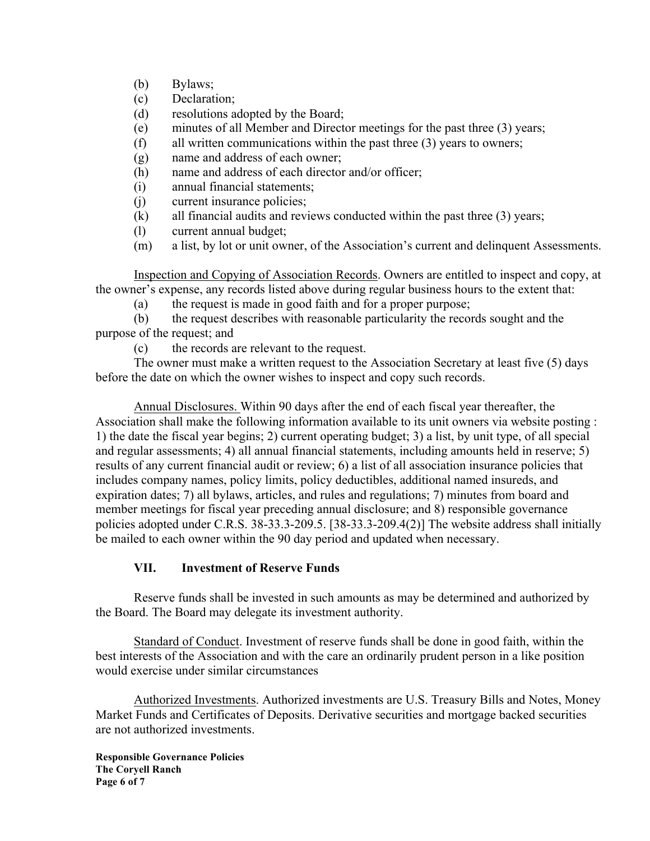- (b) Bylaws;
- (c) Declaration;
- (d) resolutions adopted by the Board;
- (e) minutes of all Member and Director meetings for the past three (3) years;
- (f) all written communications within the past three (3) years to owners;
- (g) name and address of each owner;
- (h) name and address of each director and/or officer;
- (i) annual financial statements;
- (j) current insurance policies;
- (k) all financial audits and reviews conducted within the past three (3) years;
- (l) current annual budget;
- (m) a list, by lot or unit owner, of the Association's current and delinquent Assessments.

Inspection and Copying of Association Records. Owners are entitled to inspect and copy, at the owner's expense, any records listed above during regular business hours to the extent that:

(a) the request is made in good faith and for a proper purpose;

(b) the request describes with reasonable particularity the records sought and the purpose of the request; and

(c) the records are relevant to the request.

The owner must make a written request to the Association Secretary at least five (5) days before the date on which the owner wishes to inspect and copy such records.

Annual Disclosures. Within 90 days after the end of each fiscal year thereafter, the Association shall make the following information available to its unit owners via website posting : 1) the date the fiscal year begins; 2) current operating budget; 3) a list, by unit type, of all special and regular assessments; 4) all annual financial statements, including amounts held in reserve; 5) results of any current financial audit or review; 6) a list of all association insurance policies that includes company names, policy limits, policy deductibles, additional named insureds, and expiration dates; 7) all bylaws, articles, and rules and regulations; 7) minutes from board and member meetings for fiscal year preceding annual disclosure; and 8) responsible governance policies adopted under C.R.S. 38-33.3-209.5. [38-33.3-209.4(2)] The website address shall initially be mailed to each owner within the 90 day period and updated when necessary.

### **VII. Investment of Reserve Funds**

Reserve funds shall be invested in such amounts as may be determined and authorized by the Board. The Board may delegate its investment authority.

Standard of Conduct. Investment of reserve funds shall be done in good faith, within the best interests of the Association and with the care an ordinarily prudent person in a like position would exercise under similar circumstances

Authorized Investments. Authorized investments are U.S. Treasury Bills and Notes, Money Market Funds and Certificates of Deposits. Derivative securities and mortgage backed securities are not authorized investments.

**Responsible Governance Policies The Coryell Ranch Page 6 of 7**